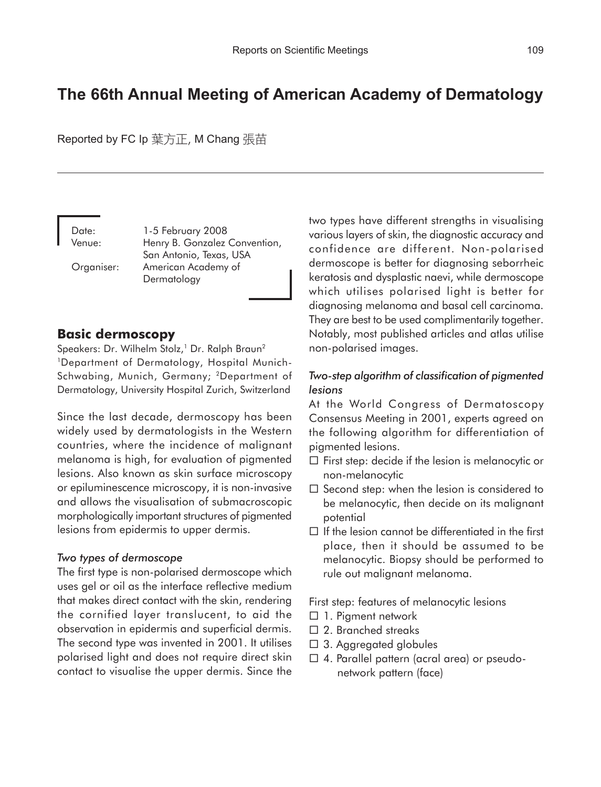# **The 66th Annual Meeting of American Academy of Dermatology**

Reported by FC Ip 葉方正, M Chang 張苗

Date: 1-5 February 2008 Venue: Henry B. Gonzalez Convention, San Antonio, Texas, USA Organiser: American Academy of Dermatology

## **Basic dermoscopy**

Speakers: Dr. Wilhelm Stolz,<sup>1</sup> Dr. Ralph Braun<sup>2</sup> 1Department of Dermatology, Hospital Munich-Schwabing, Munich, Germany; 2Department of Dermatology, University Hospital Zurich, Switzerland

Since the last decade, dermoscopy has been widely used by dermatologists in the Western countries, where the incidence of malignant melanoma is high, for evaluation of pigmented lesions. Also known as skin surface microscopy or epiluminescence microscopy, it is non-invasive and allows the visualisation of submacroscopic morphologically important structures of pigmented lesions from epidermis to upper dermis.

#### *Two types of dermoscope*

The first type is non-polarised dermoscope which uses gel or oil as the interface reflective medium that makes direct contact with the skin, rendering the cornified layer translucent, to aid the observation in epidermis and superficial dermis. The second type was invented in 2001. It utilises polarised light and does not require direct skin contact to visualise the upper dermis. Since the two types have different strengths in visualising various layers of skin, the diagnostic accuracy and confidence are different. Non-polarised dermoscope is better for diagnosing seborrheic keratosis and dysplastic naevi, while dermoscope which utilises polarised light is better for diagnosing melanoma and basal cell carcinoma. They are best to be used complimentarily together. Notably, most published articles and atlas utilise non-polarised images.

### *Two-step algorithm of classification of pigmented lesions*

At the World Congress of Dermatoscopy Consensus Meeting in 2001, experts agreed on the following algorithm for differentiation of pigmented lesions.

- $\square$  First step: decide if the lesion is melanocytic or non-melanocytic
- $\square$  Second step: when the lesion is considered to be melanocytic, then decide on its malignant potential
- $\Box$  If the lesion cannot be differentiated in the first place, then it should be assumed to be melanocytic. Biopsy should be performed to rule out malignant melanoma.

First step: features of melanocytic lesions

- $\Box$  1. Pigment network
- □ 2. Branched streaks
- □ 3. Aggregated globules
- $\Box$  4. Parallel pattern (acral area) or pseudonetwork pattern (face)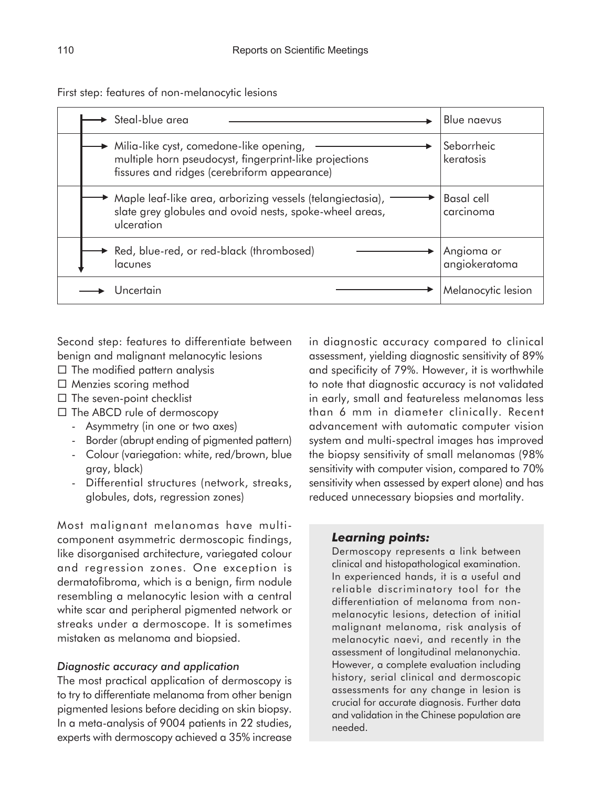First step: features of non-melanocytic lesions

|  | Steal-blue area                                                                                                                                   | Blue naevus                    |
|--|---------------------------------------------------------------------------------------------------------------------------------------------------|--------------------------------|
|  | Milia-like cyst, comedone-like opening,<br>multiple horn pseudocyst, fingerprint-like projections<br>fissures and ridges (cerebriform appearance) | Seborrheic<br>keratosis        |
|  | Maple leaf-like area, arborizing vessels (telangiectasia),<br>slate grey globules and ovoid nests, spoke-wheel areas,<br>ulceration               | <b>Basal</b> cell<br>carcinoma |
|  | Red, blue-red, or red-black (thrombosed)<br>lacunes                                                                                               | Angioma or<br>angiokeratoma    |
|  | Uncertain                                                                                                                                         | Melanocytic lesion             |

Second step: features to differentiate between benign and malignant melanocytic lesions

- $\Box$  The modified pattern analysis
- $\Box$  Menzies scoring method
- $\Box$  The seven-point checklist
- $\Box$  The ABCD rule of dermoscopy
	- Asymmetry (in one or two axes)
	- Border (abrupt ending of pigmented pattern)
	- Colour (variegation: white, red/brown, blue gray, black)
	- Differential structures (network, streaks, globules, dots, regression zones)

Most malignant melanomas have multicomponent asymmetric dermoscopic findings, like disorganised architecture, variegated colour and regression zones. One exception is dermatofibroma, which is a benign, firm nodule resembling a melanocytic lesion with a central white scar and peripheral pigmented network or streaks under a dermoscope. It is sometimes mistaken as melanoma and biopsied.

#### *Diagnostic accuracy and application*

The most practical application of dermoscopy is to try to differentiate melanoma from other benign pigmented lesions before deciding on skin biopsy. In a meta-analysis of 9004 patients in 22 studies, experts with dermoscopy achieved a 35% increase in diagnostic accuracy compared to clinical assessment, yielding diagnostic sensitivity of 89% and specificity of 79%. However, it is worthwhile to note that diagnostic accuracy is not validated in early, small and featureless melanomas less than 6 mm in diameter clinically. Recent advancement with automatic computer vision system and multi-spectral images has improved the biopsy sensitivity of small melanomas (98% sensitivity with computer vision, compared to 70% sensitivity when assessed by expert alone) and has reduced unnecessary biopsies and mortality.

#### *Learning points:*

Dermoscopy represents a link between clinical and histopathological examination. In experienced hands, it is a useful and reliable discriminatory tool for the differentiation of melanoma from nonmelanocytic lesions, detection of initial malignant melanoma, risk analysis of melanocytic naevi, and recently in the assessment of longitudinal melanonychia. However, a complete evaluation including history, serial clinical and dermoscopic assessments for any change in lesion is crucial for accurate diagnosis. Further data and validation in the Chinese population are needed.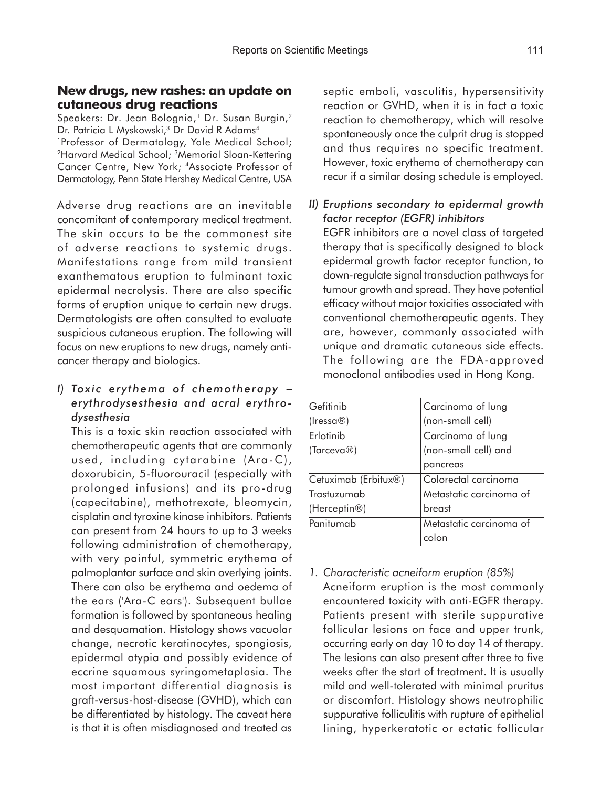### **New drugs, new rashes: an update on cutaneous drug reactions**

Speakers: Dr. Jean Bolognia,<sup>1</sup> Dr. Susan Burgin,<sup>2</sup> Dr. Patricia L Myskowski,<sup>3</sup> Dr David R Adams<sup>4</sup> 1Professor of Dermatology, Yale Medical School; 2Harvard Medical School; 3Memorial Sloan-Kettering Cancer Centre, New York; 4Associate Professor of Dermatology, Penn State Hershey Medical Centre, USA

Adverse drug reactions are an inevitable concomitant of contemporary medical treatment. The skin occurs to be the commonest site of adverse reactions to systemic drugs. Manifestations range from mild transient exanthematous eruption to fulminant toxic epidermal necrolysis. There are also specific forms of eruption unique to certain new drugs. Dermatologists are often consulted to evaluate suspicious cutaneous eruption. The following will focus on new eruptions to new drugs, namely anticancer therapy and biologics.

## *I) Toxic erythema of chemotherapy* <sup>−</sup> *erythrodysesthesia and acral erythrodysesthesia*

This is a toxic skin reaction associated with chemotherapeutic agents that are commonly used, including cytarabine (Ara-C), doxorubicin, 5-fluorouracil (especially with prolonged infusions) and its pro-drug (capecitabine), methotrexate, bleomycin, cisplatin and tyroxine kinase inhibitors. Patients can present from 24 hours to up to 3 weeks following administration of chemotherapy, with very painful, symmetric erythema of palmoplantar surface and skin overlying joints. There can also be erythema and oedema of the ears ('Ara-C ears'). Subsequent bullae formation is followed by spontaneous healing and desquamation. Histology shows vacuolar change, necrotic keratinocytes, spongiosis, epidermal atypia and possibly evidence of eccrine squamous syringometaplasia. The most important differential diagnosis is graft-versus-host-disease (GVHD), which can be differentiated by histology. The caveat here is that it is often misdiagnosed and treated as

septic emboli, vasculitis, hypersensitivity reaction or GVHD, when it is in fact a toxic reaction to chemotherapy, which will resolve spontaneously once the culprit drug is stopped and thus requires no specific treatment. However, toxic erythema of chemotherapy can recur if a similar dosing schedule is employed.

## *II) Eruptions secondary to epidermal growth factor receptor (EGFR) inhibitors*

EGFR inhibitors are a novel class of targeted therapy that is specifically designed to block epidermal growth factor receptor function, to down-regulate signal transduction pathways for tumour growth and spread. They have potential efficacy without major toxicities associated with conventional chemotherapeutic agents. They are, however, commonly associated with unique and dramatic cutaneous side effects. The following are the FDA-approved monoclonal antibodies used in Hong Kong.

| Gefitinib            | Carcinoma of lung       |
|----------------------|-------------------------|
| (Iressa®)            | (non-small cell)        |
| Erlotinib            | Carcinoma of lung       |
| (Tarceva®)           | (non-small cell) and    |
|                      | pancreas                |
| Cetuximab (Erbitux®) | Colorectal carcinoma    |
| Trastuzumab          | Metastatic carcinoma of |
| (Herceptin®)         | breast                  |
| Panitumab            | Metastatic carcinoma of |
|                      | colon                   |

*1. Characteristic acneiform eruption (85%)* Acneiform eruption is the most commonly encountered toxicity with anti-EGFR therapy. Patients present with sterile suppurative follicular lesions on face and upper trunk, occurring early on day 10 to day 14 of therapy. The lesions can also present after three to five weeks after the start of treatment. It is usually mild and well-tolerated with minimal pruritus or discomfort. Histology shows neutrophilic suppurative folliculitis with rupture of epithelial lining, hyperkeratotic or ectatic follicular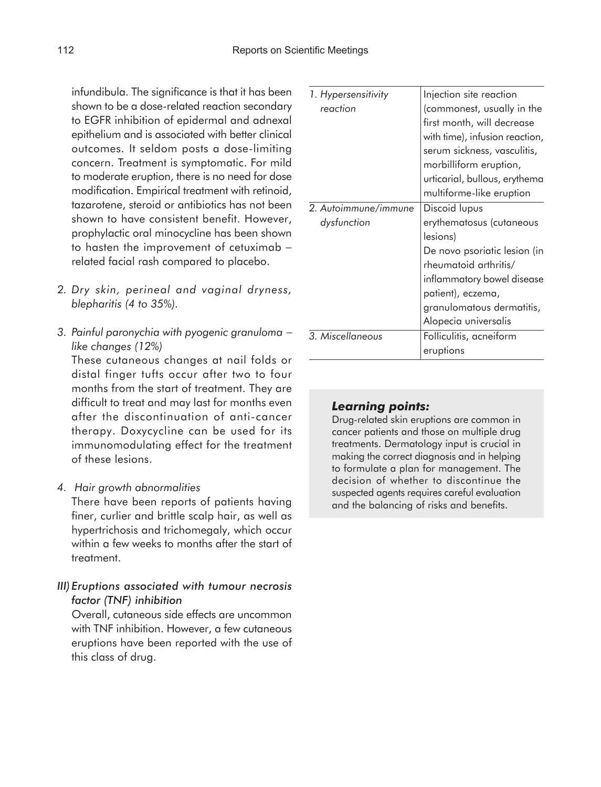infundibula. The significance is that it has been shown to be a dose-related reaction secondary to EGFR inhibition of epidermal and adnexal epithelium and is associated with better clinical outcomes. It seldom posts a dose-limiting concern. Treatment is symptomatic. For mild to moderate eruption, there is no need for dose modification. Empirical treatment with retinoid, tazarotene, steroid or antibiotics has not been shown to have consistent benefit. However, prophylactic oral minocycline has been shown to hasten the improvement of cetuximab − related facial rash compared to placebo.

- *2. Dry skin, perineal and vaginal dryness, blepharitis (4 to 35%).*
- *3. Painful paronychia with pyogenic granuloma* <sup>−</sup> *like changes (12%)*

These cutaneous changes at nail folds or distal finger tufts occur after two to four months from the start of treatment. They are difficult to treat and may last for months even after the discontinuation of anti-cancer therapy. Doxycycline can be used for its immunomodulating effect for the treatment of these lesions.

*4. Hair growth abnormalities*

There have been reports of patients having finer, curlier and brittle scalp hair, as well as hypertrichosis and trichomegaly, which occur within a few weeks to months after the start of treatment.

*III)Eruptions associated with tumour necrosis factor (TNF) inhibition*

Overall, cutaneous side effects are uncommon with TNF inhibition. However, a few cutaneous eruptions have been reported with the use of this class of drug.

| 1. Hypersensitivity  | Injection site reaction        |
|----------------------|--------------------------------|
| reaction             | (commonest, usually in the     |
|                      | first month, will decrease     |
|                      | with time), infusion reaction, |
|                      | serum sickness, vasculitis,    |
|                      | morbilliform eruption,         |
|                      | urticarial, bullous, erythema  |
|                      | multiforme-like eruption       |
| 2. Autoimmune/immune | Discoid lupus                  |
| dysfunction          | erythematosus (cutaneous       |
|                      | lesions)                       |
|                      | De novo psoriatic lesion (in   |
|                      | rheumatoid arthritis/          |
|                      | inflammatory bowel disease     |
|                      | patient), eczema,              |
|                      | granulomatous dermatitis,      |
|                      | Alopecia universalis           |
| 3. Miscellaneous     | Folliculitis, acneiform        |
|                      | eruptions                      |

#### *Learning points:*

Drug-related skin eruptions are common in cancer patients and those on multiple drug treatments. Dermatology input is crucial in making the correct diagnosis and in helping to formulate a plan for management. The decision of whether to discontinue the suspected agents requires careful evaluation and the balancing of risks and benefits.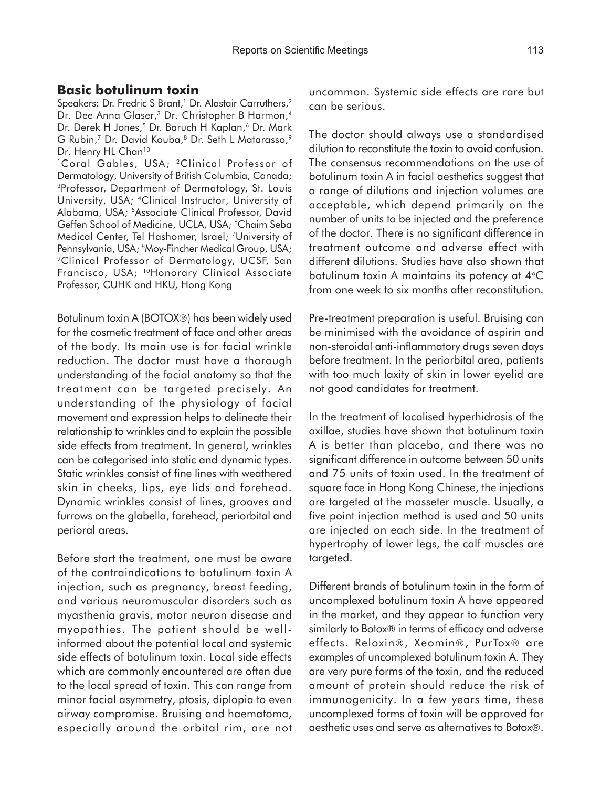#### **Basic botulinum toxin**

Speakers: Dr. Fredric S Brant,<sup>1</sup> Dr. Alastair Carruthers,<sup>2</sup> Dr. Dee Anna Glaser,<sup>3</sup> Dr. Christopher B Harmon,<sup>4</sup> Dr. Derek H Jones,<sup>5</sup> Dr. Baruch H Kaplan,<sup>6</sup> Dr. Mark G Rubin,<sup>7</sup> Dr. David Kouba,<sup>8</sup> Dr. Seth L Matarasso,<sup>9</sup> Dr. Henry HL Chan<sup>10</sup>

<sup>1</sup>Coral Gables, USA; <sup>2</sup>Clinical Professor of Dermatology, University of British Columbia, Canada; 3Professor, Department of Dermatology, St. Louis University, USA; 4Clinical Instructor, University of Alabama, USA; 5Associate Clinical Professor, David Geffen School of Medicine, UCLA, USA; <sup>6</sup>Chaim Seba Medical Center, Tel Hashomer, Israel; 7University of Pennsylvania, USA; 8Moy-Fincher Medical Group, USA; 9Clinical Professor of Dermatology, UCSF, San Francisco, USA; 10Honorary Clinical Associate Professor, CUHK and HKU, Hong Kong

Botulinum toxin A (BOTOX®) has been widely used for the cosmetic treatment of face and other areas of the body. Its main use is for facial wrinkle reduction. The doctor must have a thorough understanding of the facial anatomy so that the treatment can be targeted precisely. An understanding of the physiology of facial movement and expression helps to delineate their relationship to wrinkles and to explain the possible side effects from treatment. In general, wrinkles can be categorised into static and dynamic types. Static wrinkles consist of fine lines with weathered skin in cheeks, lips, eye lids and forehead. Dynamic wrinkles consist of lines, grooves and furrows on the glabella, forehead, periorbital and perioral areas.

Before start the treatment, one must be aware of the contraindications to botulinum toxin A injection, such as pregnancy, breast feeding, and various neuromuscular disorders such as myasthenia gravis, motor neuron disease and myopathies. The patient should be wellinformed about the potential local and systemic side effects of botulinum toxin. Local side effects which are commonly encountered are often due to the local spread of toxin. This can range from minor facial asymmetry, ptosis, diplopia to even airway compromise. Bruising and haematoma, especially around the orbital rim, are not uncommon. Systemic side effects are rare but can be serious.

The doctor should always use a standardised dilution to reconstitute the toxin to avoid confusion. The consensus recommendations on the use of botulinum toxin A in facial aesthetics suggest that a range of dilutions and injection volumes are acceptable, which depend primarily on the number of units to be injected and the preference of the doctor. There is no significant difference in treatment outcome and adverse effect with different dilutions. Studies have also shown that botulinum toxin A maintains its potency at 4°C from one week to six months after reconstitution.

Pre-treatment preparation is useful. Bruising can be minimised with the avoidance of aspirin and non-steroidal anti-inflammatory drugs seven days before treatment. In the periorbital area, patients with too much laxity of skin in lower eyelid are not good candidates for treatment.

In the treatment of localised hyperhidrosis of the axillae, studies have shown that botulinum toxin A is better than placebo, and there was no significant difference in outcome between 50 units and 75 units of toxin used. In the treatment of square face in Hong Kong Chinese, the injections are targeted at the masseter muscle. Usually, a five point injection method is used and 50 units are injected on each side. In the treatment of hypertrophy of lower legs, the calf muscles are targeted.

Different brands of botulinum toxin in the form of uncomplexed botulinum toxin A have appeared in the market, and they appear to function very similarly to Botox® in terms of efficacy and adverse effects. Reloxin®, Xeomin®, PurTox® are examples of uncomplexed botulinum toxin A. They are very pure forms of the toxin, and the reduced amount of protein should reduce the risk of immunogenicity. In a few years time, these uncomplexed forms of toxin will be approved for aesthetic uses and serve as alternatives to Botox®.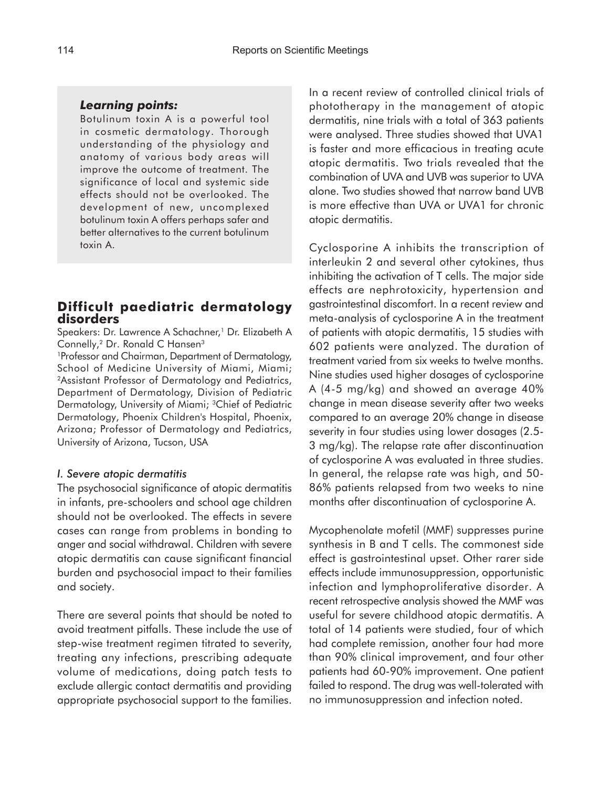#### *Learning points:*

Botulinum toxin A is a powerful tool in cosmetic dermatology. Thorough understanding of the physiology and anatomy of various body areas will improve the outcome of treatment. The significance of local and systemic side effects should not be overlooked. The development of new, uncomplexed botulinum toxin A offers perhaps safer and better alternatives to the current botulinum toxin A.

#### **Difficult paediatric dermatology disorders**

Speakers: Dr. Lawrence A Schachner,<sup>1</sup> Dr. Elizabeth A Connelly,<sup>2</sup> Dr. Ronald C Hansen<sup>3</sup>

1 Professor and Chairman, Department of Dermatology, School of Medicine University of Miami, Miami; 2Assistant Professor of Dermatology and Pediatrics, Department of Dermatology, Division of Pediatric Dermatology, University of Miami; 3Chief of Pediatric Dermatology, Phoenix Children's Hospital, Phoenix, Arizona; Professor of Dermatology and Pediatrics, University of Arizona, Tucson, USA

#### *I. Severe atopic dermatitis*

The psychosocial significance of atopic dermatitis in infants, pre-schoolers and school age children should not be overlooked. The effects in severe cases can range from problems in bonding to anger and social withdrawal. Children with severe atopic dermatitis can cause significant financial burden and psychosocial impact to their families and society.

There are several points that should be noted to avoid treatment pitfalls. These include the use of step-wise treatment regimen titrated to severity, treating any infections, prescribing adequate volume of medications, doing patch tests to exclude allergic contact dermatitis and providing appropriate psychosocial support to the families.

In a recent review of controlled clinical trials of phototherapy in the management of atopic dermatitis, nine trials with a total of 363 patients were analysed. Three studies showed that UVA1 is faster and more efficacious in treating acute atopic dermatitis. Two trials revealed that the combination of UVA and UVB was superior to UVA alone. Two studies showed that narrow band UVB is more effective than UVA or UVA1 for chronic atopic dermatitis.

Cyclosporine A inhibits the transcription of interleukin 2 and several other cytokines, thus inhibiting the activation of T cells. The major side effects are nephrotoxicity, hypertension and gastrointestinal discomfort. In a recent review and meta-analysis of cyclosporine A in the treatment of patients with atopic dermatitis, 15 studies with 602 patients were analyzed. The duration of treatment varied from six weeks to twelve months. Nine studies used higher dosages of cyclosporine A (4-5 mg/kg) and showed an average 40% change in mean disease severity after two weeks compared to an average 20% change in disease severity in four studies using lower dosages (2.5- 3 mg/kg). The relapse rate after discontinuation of cyclosporine A was evaluated in three studies. In general, the relapse rate was high, and 50- 86% patients relapsed from two weeks to nine months after discontinuation of cyclosporine A.

Mycophenolate mofetil (MMF) suppresses purine synthesis in B and T cells. The commonest side effect is gastrointestinal upset. Other rarer side effects include immunosuppression, opportunistic infection and lymphoproliferative disorder. A recent retrospective analysis showed the MMF was useful for severe childhood atopic dermatitis. A total of 14 patients were studied, four of which had complete remission, another four had more than 90% clinical improvement, and four other patients had 60-90% improvement. One patient failed to respond. The drug was well-tolerated with no immunosuppression and infection noted.